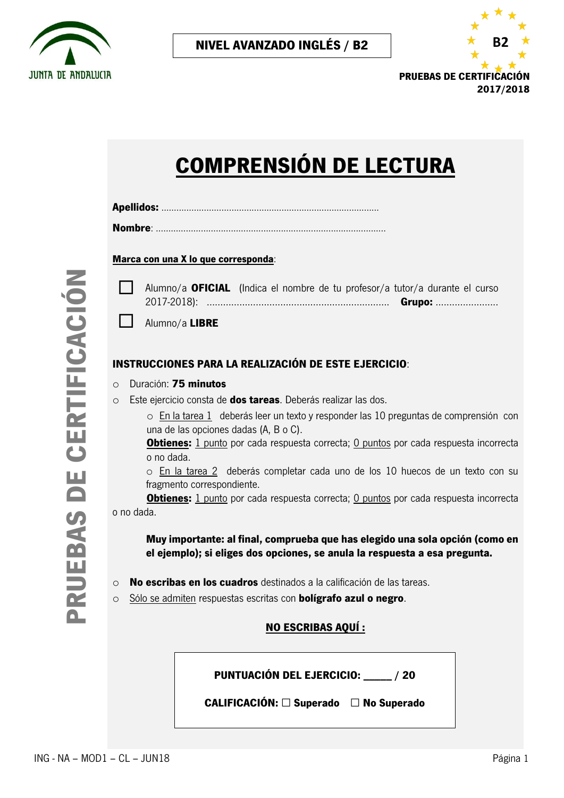



# **COMPRENSIÓN DE LECTURA**

**Nombre**: ………………………………………………………………………………..

**Marca con una X lo que corresponda**:

|             |  | Alumno/a <b>OFICIAL</b> (Indica el nombre de tu profesor/a tutor/a durante el curso |
|-------------|--|-------------------------------------------------------------------------------------|
| 2017-2018): |  | Grupo:                                                                              |

Alumno/a **LIBRE** 

#### **INSTRUCCIONES PARA LA REALIZACIÓN DE ESTE EJERCICIO**:

o Duración: **75 minutos**

o Este ejercicio consta de **dos tareas**. Deberás realizar las dos.

o En la tarea 1 deberás leer un texto y responder las 10 preguntas de comprensión con una de las opciones dadas (A, B o C).

**Obtienes:** 1 punto por cada respuesta correcta; 0 puntos por cada respuesta incorrecta o no dada.

o En la tarea 2 deberás completar cada uno de los 10 huecos de un texto con su fragmento correspondiente.

 **Obtienes:** 1 punto por cada respuesta correcta; 0 puntos por cada respuesta incorrecta o no dada.

**Muy importante: al final, comprueba que has elegido una sola opción (como en el ejemplo); si eliges dos opciones, se anula la respuesta a esa pregunta.**

- o **No escribas en los cuadros** destinados a la calificación de las tareas.
- o Sólo se admiten respuestas escritas con **bolígrafo azul o negro**.

### **NO ESCRIBAS AQUÍ :**

**PUNTUACIÓN DEL EJERCICIO: \_\_\_\_\_ / 20**

**CALIFICACIÓN: □ Superado □ No Superado**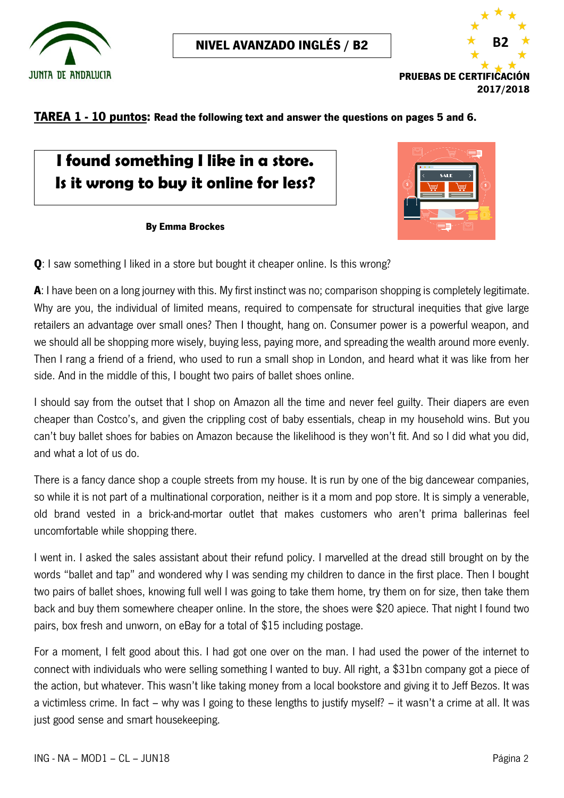



### **TAREA 1 - 10 puntos: Read the following text and answer the questions on pages 5 and 6.**

# **I found something I like in a store. Is it wrong to buy it online for less?**



**By Emma Brockes**

**Q**: I saw something I liked in a store but bought it cheaper online. Is this wrong?

**A**: I have been on a long journey with this. My first instinct was no; comparison shopping is completely legitimate. Why are you, the individual of limited means, required to compensate for structural inequities that give large retailers an advantage over small ones? Then I thought, hang on. Consumer power is a powerful weapon, and we should all be shopping more wisely, buying less, paying more, and spreading the wealth around more evenly. Then I rang a friend of a friend, who used to run a small shop in London, and heard what it was like from her side. And in the middle of this, I bought two pairs of ballet shoes online.

I should say from the outset that I shop on Amazon all the time and never feel guilty. Their diapers are even cheaper than Costco's, and given the crippling cost of baby essentials, cheap in my household wins. But you can't buy ballet shoes for babies on Amazon because the likelihood is they won't fit. And so I did what you did, and what a lot of us do.

There is a fancy dance shop a couple streets from my house. It is run by one of the big dancewear companies, so while it is not part of a multinational corporation, neither is it a mom and pop store. It is simply a venerable, old brand vested in a brick-and-mortar outlet that makes customers who aren't prima ballerinas feel uncomfortable while shopping there.

I went in. I asked the sales assistant about their refund policy. I marvelled at the dread still brought on by the words "ballet and tap" and wondered why I was sending my children to dance in the first place. Then I bought two pairs of ballet shoes, knowing full well I was going to take them home, try them on for size, then take them back and buy them somewhere cheaper online. In the store, the shoes were \$20 apiece. That night I found two pairs, box fresh and unworn, on eBay for a total of \$15 including postage.

For a moment, I felt good about this. I had got one over on the man. I had used the power of the internet to connect with individuals who were selling something I wanted to buy. All right, a \$31bn company got a piece of the action, but whatever. This wasn't like taking money from a local bookstore and giving it to Jeff Bezos. It was a victimless crime. In fact – why was I going to these lengths to justify myself? – it wasn't a crime at all. It was just good sense and smart housekeeping.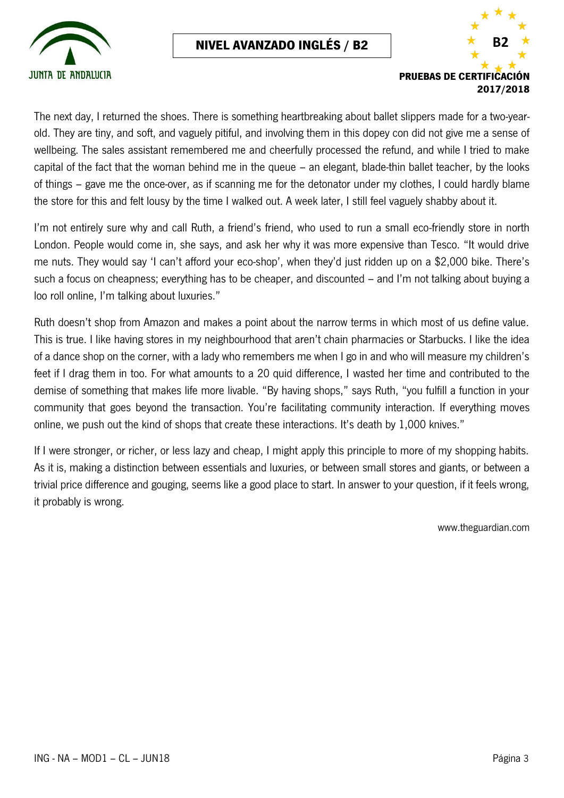



# **PRUEBAS DE CER 2017/2018 B2**

The next day, I returned the shoes. There is something heartbreaking about ballet slippers made for a two-yearold. They are tiny, and soft, and vaguely pitiful, and involving them in this dopey con did not give me a sense of wellbeing. The sales assistant remembered me and cheerfully processed the refund, and while I tried to make capital of the fact that the woman behind me in the queue – an elegant, blade-thin ballet teacher, by the looks of things – gave me the once-over, as if scanning me for the detonator under my clothes, I could hardly blame the store for this and felt lousy by the time I walked out. A week later, I still feel vaguely shabby about it.

I'm not entirely sure why and call Ruth, a friend's friend, who used to run a small eco-friendly store in north London. People would come in, she says, and ask her why it was more expensive than Tesco. "It would drive me nuts. They would say 'I can't afford your eco-shop', when they'd just ridden up on a \$2,000 bike. There's such a focus on cheapness; everything has to be cheaper, and discounted – and I'm not talking about buying a loo roll online, I'm talking about luxuries."

Ruth doesn't shop from Amazon and makes a point about the narrow terms in which most of us define value. This is true. I like having stores in my neighbourhood that aren't chain pharmacies or Starbucks. I like the idea of a dance shop on the corner, with a lady who remembers me when I go in and who will measure my children's feet if I drag them in too. For what amounts to a 20 quid difference, I wasted her time and contributed to the demise of something that makes life more livable. "By having shops," says Ruth, "you fulfill a function in your community that goes beyond the transaction. You're facilitating community interaction. If everything moves online, we push out the kind of shops that create these interactions. It's death by 1,000 knives."

If I were stronger, or richer, or less lazy and cheap, I might apply this principle to more of my shopping habits. As it is, making a distinction between essentials and luxuries, or between small stores and giants, or between a trivial price difference and gouging, seems like a good place to start. In answer to your question, if it feels wrong, it probably is wrong.

www.theguardian.com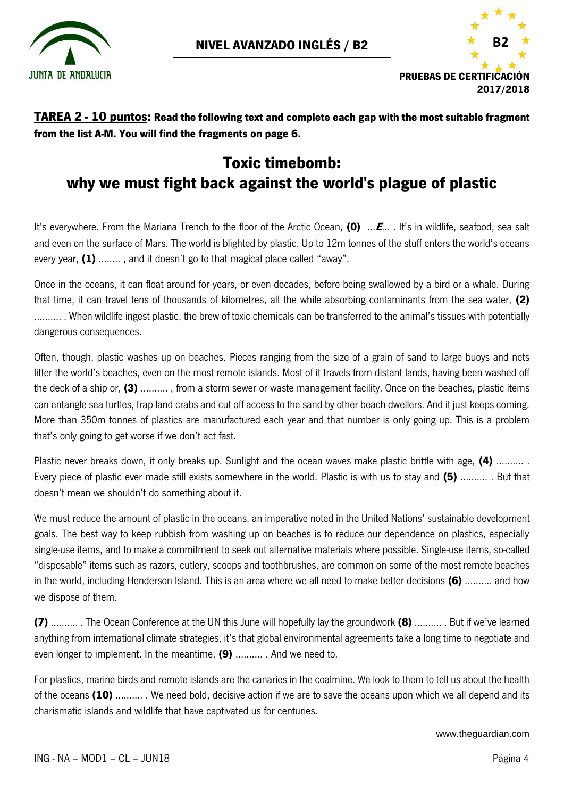



**TAREA 2 - 10 puntos: Read the following text and complete each gap with the most suitable fragment from the list A-M. You will find the fragments on page 6.**

## **Toxic timebomb: why we must fight back against the world's plague of plastic**

It's everywhere. From the Mariana Trench to the floor of the Arctic Ocean, **(0)** ...**E**... . It's in wildlife, seafood, sea salt and even on the surface of Mars. The world is blighted by plastic. Up to 12m tonnes of the stuff enters the world's oceans every year, **(1)** ........ , and it doesn't go to that magical place called "away".

Once in the oceans, it can float around for years, or even decades, before being swallowed by a bird or a whale. During that time, it can travel tens of thousands of kilometres, all the while absorbing contaminants from the sea water, **(2)**  .......... . When wildlife ingest plastic, the brew of toxic chemicals can be transferred to the animal's tissues with potentially dangerous consequences.

Often, though, plastic washes up on beaches. Pieces ranging from the size of a grain of sand to large buoys and nets litter the world's beaches, even on the most remote islands. Most of it travels from distant lands, having been washed off the deck of a ship or, **(3)** .......... , from a storm sewer or waste management facility. Once on the beaches, plastic items can entangle sea turtles, trap land crabs and cut off access to the sand by other beach dwellers. And it just keeps coming. More than 350m tonnes of plastics are manufactured each year and that number is only going up. This is a problem that's only going to get worse if we don't act fast.

Plastic never breaks down, it only breaks up. Sunlight and the ocean waves make plastic brittle with age, **(4)** .......... . Every piece of plastic ever made still exists somewhere in the world. Plastic is with us to stay and **(5)** .......... . But that doesn't mean we shouldn't do something about it.

We must reduce the amount of plastic in the oceans, an imperative noted in the United Nations' sustainable development goals. The best way to keep rubbish from washing up on beaches is to reduce our dependence on plastics, especially single-use items, and to make a commitment to seek out alternative materials where possible. Single-use items, so-called "disposable" items such as razors, cutlery, scoops and toothbrushes, are common on some of the most remote beaches in the world, including Henderson Island. This is an area where we all need to make better decisions **(6)** .......... and how we dispose of them.

**(7)** .......... . The Ocean Conference at the UN this June will hopefully lay the groundwork **(8)** .......... . But if we've learned anything from international climate strategies, it's that global environmental agreements take a long time to negotiate and even longer to implement. In the meantime, **(9)** .......... . And we need to.

For plastics, marine birds and remote islands are the canaries in the coalmine. We look to them to tell us about the health of the oceans **(10)** .......... . We need bold, decisive action if we are to save the oceans upon which we all depend and its charismatic islands and wildlife that have captivated us for centuries.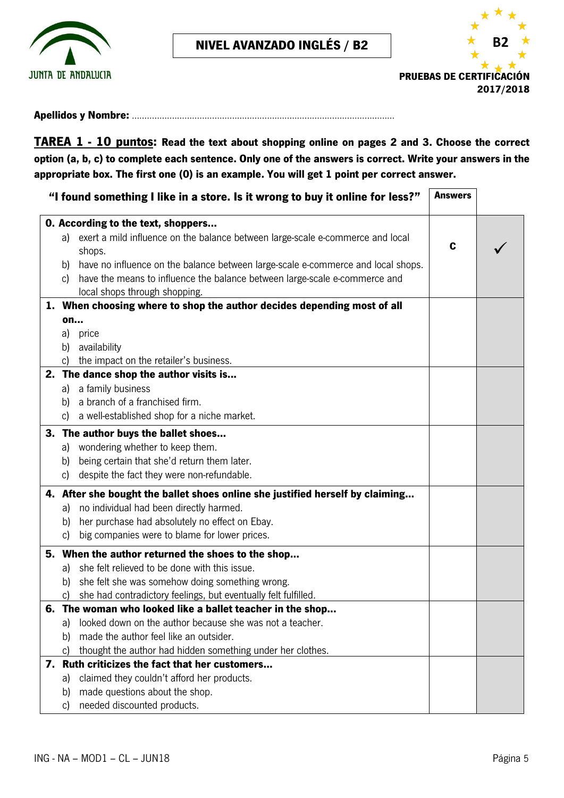

## **NIVEL AVANZADO INGLÉS / B2**

**PRUEBAS DE CERTIFICACIÓN 2017/2018 B2**

**Apellidos y Nombre:** ……………………………………………………………………………………………

**TAREA 1 - 10 puntos: Read the text about shopping online on pages 2 and 3. Choose the correct option (a, b, c) to complete each sentence. Only one of the answers is correct. Write your answers in the appropriate box. The first one (0) is an example. You will get 1 point per correct answer.**

|    | "I found something I like in a store. Is it wrong to buy it online for less?" | <b>Answers</b>                                                                                                                                                                                  |   |  |
|----|-------------------------------------------------------------------------------|-------------------------------------------------------------------------------------------------------------------------------------------------------------------------------------------------|---|--|
|    |                                                                               | 0. According to the text, shoppers                                                                                                                                                              |   |  |
|    | a)                                                                            | exert a mild influence on the balance between large-scale e-commerce and local<br>shops.                                                                                                        | C |  |
|    | b)<br>c)                                                                      | have no influence on the balance between large-scale e-commerce and local shops.<br>have the means to influence the balance between large-scale e-commerce and<br>local shops through shopping. |   |  |
|    |                                                                               | 1. When choosing where to shop the author decides depending most of all                                                                                                                         |   |  |
|    | on                                                                            |                                                                                                                                                                                                 |   |  |
|    | a)                                                                            | price                                                                                                                                                                                           |   |  |
|    | b)                                                                            | availability                                                                                                                                                                                    |   |  |
|    | C)                                                                            | the impact on the retailer's business.                                                                                                                                                          |   |  |
|    |                                                                               | 2. The dance shop the author visits is                                                                                                                                                          |   |  |
|    | a)                                                                            | a family business                                                                                                                                                                               |   |  |
|    | b)                                                                            | a branch of a franchised firm.                                                                                                                                                                  |   |  |
|    | C)                                                                            | a well-established shop for a niche market.                                                                                                                                                     |   |  |
|    |                                                                               | 3. The author buys the ballet shoes                                                                                                                                                             |   |  |
|    | a)                                                                            | wondering whether to keep them.                                                                                                                                                                 |   |  |
|    | b)                                                                            | being certain that she'd return them later.                                                                                                                                                     |   |  |
|    | C)                                                                            | despite the fact they were non-refundable.                                                                                                                                                      |   |  |
|    |                                                                               | 4. After she bought the ballet shoes online she justified herself by claiming                                                                                                                   |   |  |
|    | a)                                                                            | no individual had been directly harmed.                                                                                                                                                         |   |  |
|    | b)                                                                            | her purchase had absolutely no effect on Ebay.                                                                                                                                                  |   |  |
|    | c)                                                                            | big companies were to blame for lower prices.                                                                                                                                                   |   |  |
|    |                                                                               | 5. When the author returned the shoes to the shop                                                                                                                                               |   |  |
|    | a)                                                                            | she felt relieved to be done with this issue.                                                                                                                                                   |   |  |
|    | b)                                                                            | she felt she was somehow doing something wrong.                                                                                                                                                 |   |  |
|    | C)                                                                            | she had contradictory feelings, but eventually felt fulfilled.                                                                                                                                  |   |  |
| 6. |                                                                               | The woman who looked like a ballet teacher in the shop.                                                                                                                                         |   |  |
|    | a)                                                                            | looked down on the author because she was not a teacher.                                                                                                                                        |   |  |
|    | b)                                                                            | made the author feel like an outsider.                                                                                                                                                          |   |  |
|    | c)                                                                            | thought the author had hidden something under her clothes.                                                                                                                                      |   |  |
| 7. |                                                                               | Ruth criticizes the fact that her customers                                                                                                                                                     |   |  |
|    | a)                                                                            | claimed they couldn't afford her products.                                                                                                                                                      |   |  |
|    | b)                                                                            | made questions about the shop.                                                                                                                                                                  |   |  |
|    | c)                                                                            | needed discounted products.                                                                                                                                                                     |   |  |